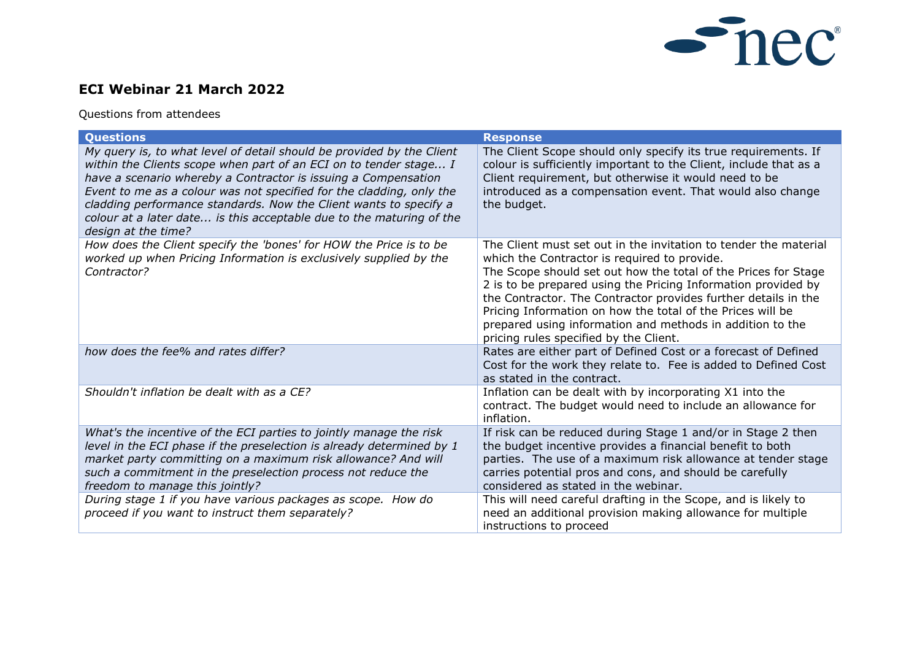

## **ECI Webinar 21 March 2022**

Questions from attendees

| <b>Questions</b>                                                                                                                                                                                                                                                                                                                                                                                                                                         | <b>Response</b>                                                                                                                                                                                                                                                                                                                                                                                                                                                                            |
|----------------------------------------------------------------------------------------------------------------------------------------------------------------------------------------------------------------------------------------------------------------------------------------------------------------------------------------------------------------------------------------------------------------------------------------------------------|--------------------------------------------------------------------------------------------------------------------------------------------------------------------------------------------------------------------------------------------------------------------------------------------------------------------------------------------------------------------------------------------------------------------------------------------------------------------------------------------|
| My query is, to what level of detail should be provided by the Client<br>within the Clients scope when part of an ECI on to tender stage I<br>have a scenario whereby a Contractor is issuing a Compensation<br>Event to me as a colour was not specified for the cladding, only the<br>cladding performance standards. Now the Client wants to specify a<br>colour at a later date is this acceptable due to the maturing of the<br>design at the time? | The Client Scope should only specify its true requirements. If<br>colour is sufficiently important to the Client, include that as a<br>Client requirement, but otherwise it would need to be<br>introduced as a compensation event. That would also change<br>the budget.                                                                                                                                                                                                                  |
| How does the Client specify the 'bones' for HOW the Price is to be<br>worked up when Pricing Information is exclusively supplied by the<br>Contractor?                                                                                                                                                                                                                                                                                                   | The Client must set out in the invitation to tender the material<br>which the Contractor is required to provide.<br>The Scope should set out how the total of the Prices for Stage<br>2 is to be prepared using the Pricing Information provided by<br>the Contractor. The Contractor provides further details in the<br>Pricing Information on how the total of the Prices will be<br>prepared using information and methods in addition to the<br>pricing rules specified by the Client. |
| how does the fee% and rates differ?                                                                                                                                                                                                                                                                                                                                                                                                                      | Rates are either part of Defined Cost or a forecast of Defined<br>Cost for the work they relate to. Fee is added to Defined Cost<br>as stated in the contract.                                                                                                                                                                                                                                                                                                                             |
| Shouldn't inflation be dealt with as a CE?                                                                                                                                                                                                                                                                                                                                                                                                               | Inflation can be dealt with by incorporating X1 into the<br>contract. The budget would need to include an allowance for<br>inflation.                                                                                                                                                                                                                                                                                                                                                      |
| What's the incentive of the ECI parties to jointly manage the risk<br>level in the ECI phase if the preselection is already determined by 1<br>market party committing on a maximum risk allowance? And will<br>such a commitment in the preselection process not reduce the<br>freedom to manage this jointly?                                                                                                                                          | If risk can be reduced during Stage 1 and/or in Stage 2 then<br>the budget incentive provides a financial benefit to both<br>parties. The use of a maximum risk allowance at tender stage<br>carries potential pros and cons, and should be carefully<br>considered as stated in the webinar.                                                                                                                                                                                              |
| During stage 1 if you have various packages as scope. How do<br>proceed if you want to instruct them separately?                                                                                                                                                                                                                                                                                                                                         | This will need careful drafting in the Scope, and is likely to<br>need an additional provision making allowance for multiple<br>instructions to proceed                                                                                                                                                                                                                                                                                                                                    |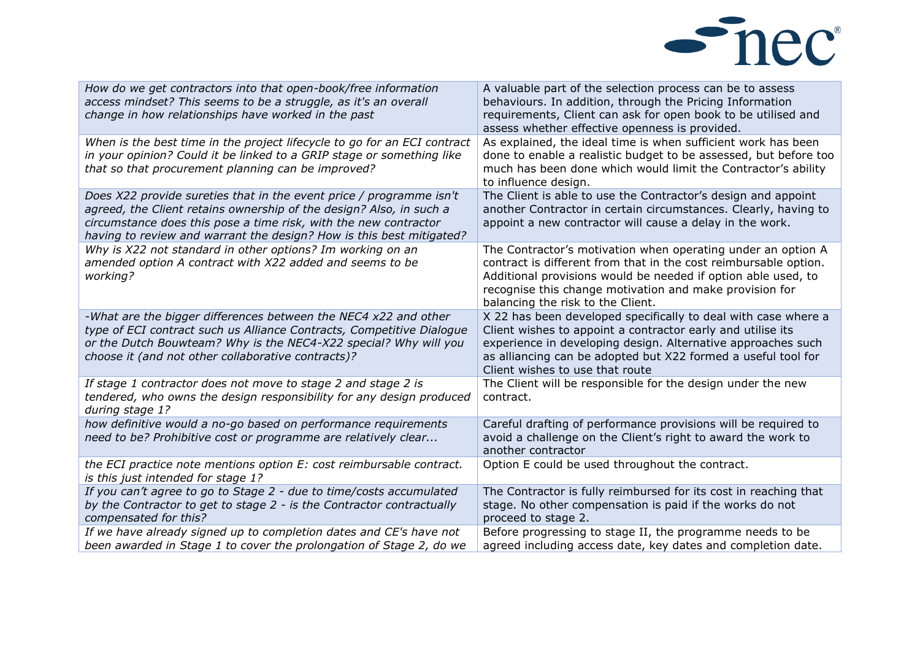

| How do we get contractors into that open-book/free information<br>access mindset? This seems to be a struggle, as it's an overall<br>change in how relationships have worked in the past                                                                                               | A valuable part of the selection process can be to assess<br>behaviours. In addition, through the Pricing Information<br>requirements, Client can ask for open book to be utilised and<br>assess whether effective openness is provided.                                                          |
|----------------------------------------------------------------------------------------------------------------------------------------------------------------------------------------------------------------------------------------------------------------------------------------|---------------------------------------------------------------------------------------------------------------------------------------------------------------------------------------------------------------------------------------------------------------------------------------------------|
| When is the best time in the project lifecycle to go for an ECI contract<br>in your opinion? Could it be linked to a GRIP stage or something like<br>that so that procurement planning can be improved?                                                                                | As explained, the ideal time is when sufficient work has been<br>done to enable a realistic budget to be assessed, but before too<br>much has been done which would limit the Contractor's ability<br>to influence design.                                                                        |
| Does X22 provide sureties that in the event price / programme isn't<br>agreed, the Client retains ownership of the design? Also, in such a<br>circumstance does this pose a time risk, with the new contractor<br>having to review and warrant the design? How is this best mitigated? | The Client is able to use the Contractor's design and appoint<br>another Contractor in certain circumstances. Clearly, having to<br>appoint a new contractor will cause a delay in the work.                                                                                                      |
| Why is X22 not standard in other options? Im working on an<br>amended option A contract with X22 added and seems to be<br>working?                                                                                                                                                     | The Contractor's motivation when operating under an option A<br>contract is different from that in the cost reimbursable option.<br>Additional provisions would be needed if option able used, to<br>recognise this change motivation and make provision for<br>balancing the risk to the Client. |
| -What are the bigger differences between the NEC4 x22 and other<br>type of ECI contract such us Alliance Contracts, Competitive Dialogue<br>or the Dutch Bouwteam? Why is the NEC4-X22 special? Why will you<br>choose it (and not other collaborative contracts)?                     | X 22 has been developed specifically to deal with case where a<br>Client wishes to appoint a contractor early and utilise its<br>experience in developing design. Alternative approaches such<br>as alliancing can be adopted but X22 formed a useful tool for<br>Client wishes to use that route |
| If stage 1 contractor does not move to stage 2 and stage 2 is<br>tendered, who owns the design responsibility for any design produced<br>during stage 1?                                                                                                                               | The Client will be responsible for the design under the new<br>contract.                                                                                                                                                                                                                          |
| how definitive would a no-go based on performance requirements<br>need to be? Prohibitive cost or programme are relatively clear                                                                                                                                                       | Careful drafting of performance provisions will be required to<br>avoid a challenge on the Client's right to award the work to<br>another contractor                                                                                                                                              |
| the ECI practice note mentions option E: cost reimbursable contract.<br>is this just intended for stage 1?                                                                                                                                                                             | Option E could be used throughout the contract.                                                                                                                                                                                                                                                   |
| If you can't agree to go to Stage 2 - due to time/costs accumulated<br>by the Contractor to get to stage 2 - is the Contractor contractually<br>compensated for this?                                                                                                                  | The Contractor is fully reimbursed for its cost in reaching that<br>stage. No other compensation is paid if the works do not<br>proceed to stage 2.                                                                                                                                               |
| If we have already signed up to completion dates and CE's have not<br>been awarded in Stage 1 to cover the prolongation of Stage 2, do we                                                                                                                                              | Before progressing to stage II, the programme needs to be<br>agreed including access date, key dates and completion date.                                                                                                                                                                         |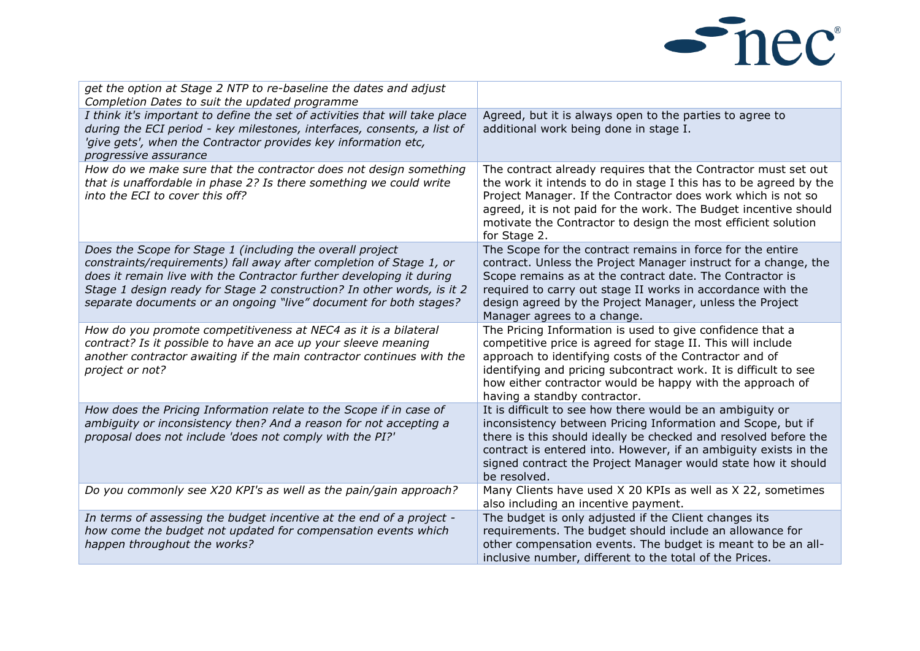

| get the option at Stage 2 NTP to re-baseline the dates and adjust<br>Completion Dates to suit the updated programme                                                                                                                                                                                                                                     |                                                                                                                                                                                                                                                                                                                                                          |
|---------------------------------------------------------------------------------------------------------------------------------------------------------------------------------------------------------------------------------------------------------------------------------------------------------------------------------------------------------|----------------------------------------------------------------------------------------------------------------------------------------------------------------------------------------------------------------------------------------------------------------------------------------------------------------------------------------------------------|
| I think it's important to define the set of activities that will take place<br>during the ECI period - key milestones, interfaces, consents, a list of<br>'give gets', when the Contractor provides key information etc,<br>progressive assurance                                                                                                       | Agreed, but it is always open to the parties to agree to<br>additional work being done in stage I.                                                                                                                                                                                                                                                       |
| How do we make sure that the contractor does not design something<br>that is unaffordable in phase 2? Is there something we could write<br>into the ECI to cover this off?                                                                                                                                                                              | The contract already requires that the Contractor must set out<br>the work it intends to do in stage I this has to be agreed by the<br>Project Manager. If the Contractor does work which is not so<br>agreed, it is not paid for the work. The Budget incentive should<br>motivate the Contractor to design the most efficient solution<br>for Stage 2. |
| Does the Scope for Stage 1 (including the overall project<br>constraints/requirements) fall away after completion of Stage 1, or<br>does it remain live with the Contractor further developing it during<br>Stage 1 design ready for Stage 2 construction? In other words, is it 2<br>separate documents or an ongoing "live" document for both stages? | The Scope for the contract remains in force for the entire<br>contract. Unless the Project Manager instruct for a change, the<br>Scope remains as at the contract date. The Contractor is<br>required to carry out stage II works in accordance with the<br>design agreed by the Project Manager, unless the Project<br>Manager agrees to a change.      |
| How do you promote competitiveness at NEC4 as it is a bilateral<br>contract? Is it possible to have an ace up your sleeve meaning<br>another contractor awaiting if the main contractor continues with the<br>project or not?                                                                                                                           | The Pricing Information is used to give confidence that a<br>competitive price is agreed for stage II. This will include<br>approach to identifying costs of the Contractor and of<br>identifying and pricing subcontract work. It is difficult to see<br>how either contractor would be happy with the approach of<br>having a standby contractor.      |
| How does the Pricing Information relate to the Scope if in case of<br>ambiguity or inconsistency then? And a reason for not accepting a<br>proposal does not include 'does not comply with the PI?'                                                                                                                                                     | It is difficult to see how there would be an ambiguity or<br>inconsistency between Pricing Information and Scope, but if<br>there is this should ideally be checked and resolved before the<br>contract is entered into. However, if an ambiguity exists in the<br>signed contract the Project Manager would state how it should<br>be resolved.         |
| Do you commonly see X20 KPI's as well as the pain/gain approach?                                                                                                                                                                                                                                                                                        | Many Clients have used X 20 KPIs as well as X 22, sometimes<br>also including an incentive payment.                                                                                                                                                                                                                                                      |
| In terms of assessing the budget incentive at the end of a project -<br>how come the budget not updated for compensation events which<br>happen throughout the works?                                                                                                                                                                                   | The budget is only adjusted if the Client changes its<br>requirements. The budget should include an allowance for<br>other compensation events. The budget is meant to be an all-<br>inclusive number, different to the total of the Prices.                                                                                                             |